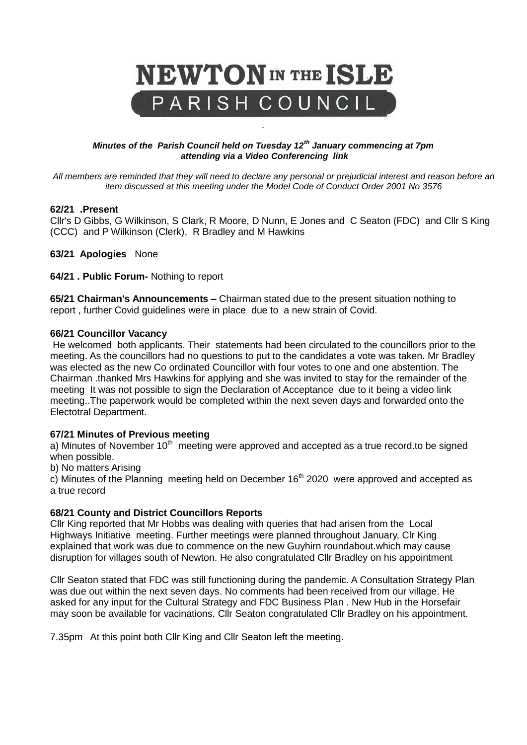

#### *Minutes of the Parish Council held on Tuesday 12th January commencing at 7pm attending via a Video Conferencing link*

*.* 

*All members are reminded that they will need to declare any personal or prejudicial interest and reason before an item discussed at this meeting under the Model Code of Conduct Order 2001 No 3576*

#### **62/21 .Present**

Cllr's D Gibbs, G Wilkinson, S Clark, R Moore, D Nunn, E Jones and C Seaton (FDC) and Cllr S King (CCC) and P Wilkinson (Clerk), R Bradley and M Hawkins

**63/21 Apologies** None

**64/21 . Public Forum-** Nothing to report

**65/21 Chairman's Announcements –** Chairman stated due to the present situation nothing to report , further Covid guidelines were in place due to a new strain of Covid.

#### **66/21 Councillor Vacancy**

He welcomed both applicants. Their statements had been circulated to the councillors prior to the meeting. As the councillors had no questions to put to the candidates a vote was taken. Mr Bradley was elected as the new Co ordinated Councillor with four votes to one and one abstention. The Chairman .thanked Mrs Hawkins for applying and she was invited to stay for the remainder of the meeting It was not possible to sign the Declaration of Acceptance due to it being a video link meeting..The paperwork would be completed within the next seven days and forwarded onto the Electotral Department.

### **67/21 Minutes of Previous meeting**

a) Minutes of November  $10<sup>th</sup>$  meeting were approved and accepted as a true record.to be signed when possible.

b) No matters Arising

c) Minutes of the Planning meeting held on December  $16<sup>th</sup>$  2020 were approved and accepted as a true record

### **68/21 County and District Councillors Reports**

Cllr King reported that Mr Hobbs was dealing with queries that had arisen from the Local Highways Initiative meeting. Further meetings were planned throughout January, Clr King explained that work was due to commence on the new Guyhirn roundabout.which may cause disruption for villages south of Newton. He also congratulated Cllr Bradley on his appointment

Cllr Seaton stated that FDC was still functioning during the pandemic. A Consultation Strategy Plan was due out within the next seven days. No comments had been received from our village. He asked for any input for the Cultural Strategy and FDC Business Plan . New Hub in the Horsefair may soon be available for vacinations. Cllr Seaton congratulated Cllr Bradley on his appointment.

7.35pm At this point both Cllr King and Cllr Seaton left the meeting.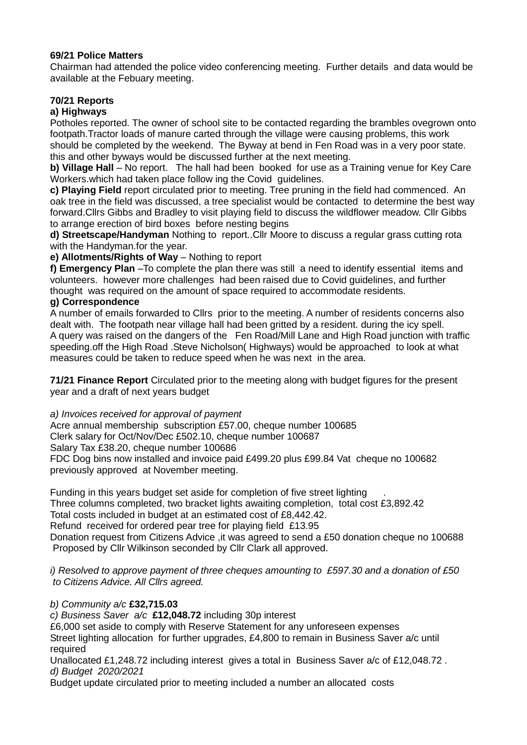### **69/21 Police Matters**

Chairman had attended the police video conferencing meeting. Further details and data would be available at the Febuary meeting.

# **70/21 Reports**

# **a) Highways**

Potholes reported. The owner of school site to be contacted regarding the brambles ovegrown onto footpath.Tractor loads of manure carted through the village were causing problems, this work should be completed by the weekend. The Byway at bend in Fen Road was in a very poor state. this and other byways would be discussed further at the next meeting.

**b) Village Hall** – No report. The hall had been booked for use as a Training venue for Key Care Workers.which had taken place follow ing the Covid guidelines.

**c) Playing Field** report circulated prior to meeting. Tree pruning in the field had commenced. An oak tree in the field was discussed, a tree specialist would be contacted to determine the best way forward.Cllrs Gibbs and Bradley to visit playing field to discuss the wildflower meadow. Cllr Gibbs to arrange erection of bird boxes before nesting begins

**d) Streetscape/Handyman** Nothing to report..Cllr Moore to discuss a regular grass cutting rota with the Handyman.for the year.

**e) Allotments/Rights of Way** – Nothing to report

**f) Emergency Plan** –To complete the plan there was still a need to identify essential items and volunteers. however more challenges had been raised due to Covid guidelines, and further thought was required on the amount of space required to accommodate residents.

## **g) Correspondence**

A number of emails forwarded to Cllrs prior to the meeting. A number of residents concerns also dealt with. The footpath near village hall had been gritted by a resident. during the icy spell. A query was raised on the dangers of the Fen Road/Mill Lane and High Road junction with traffic speeding.off the High Road .Steve Nicholson( Highways) would be approached to look at what measures could be taken to reduce speed when he was next in the area.

**71/21 Finance Report** Circulated prior to the meeting along with budget figures for the present year and a draft of next years budget

*a) Invoices received for approval of payment*

Acre annual membership subscription £57.00, cheque number 100685 Clerk salary for Oct/Nov/Dec £502.10, cheque number 100687 Salary Tax £38.20, cheque number 100686 FDC Dog bins now installed and invoice paid £499.20 plus £99.84 Vat cheque no 100682 previously approved at November meeting.

Funding in this years budget set aside for completion of five street lighting . Three columns completed, two bracket lights awaiting completion, total cost £3,892.42 Total costs included in budget at an estimated cost of £8,442.42. Refund received for ordered pear tree for playing field £13.95 Donation request from Citizens Advice ,it was agreed to send a £50 donation cheque no 100688 Proposed by Cllr Wilkinson seconded by Cllr Clark all approved.

*i) Resolved to approve payment of three cheques amounting to £597.30 and a donation of £50 to Citizens Advice. All Cllrs agreed.*

*b) Community a/c* **£32,715.03**

*c) Business Saver a/c* **£12,048.72** including 30p interest

£6,000 set aside to comply with Reserve Statement for any unforeseen expenses

Street lighting allocation for further upgrades, £4,800 to remain in Business Saver a/c until required

Unallocated £1,248.72 including interest gives a total in Business Saver a/c of £12,048.72 . *d) Budget 2020/2021* 

Budget update circulated prior to meeting included a number an allocated costs